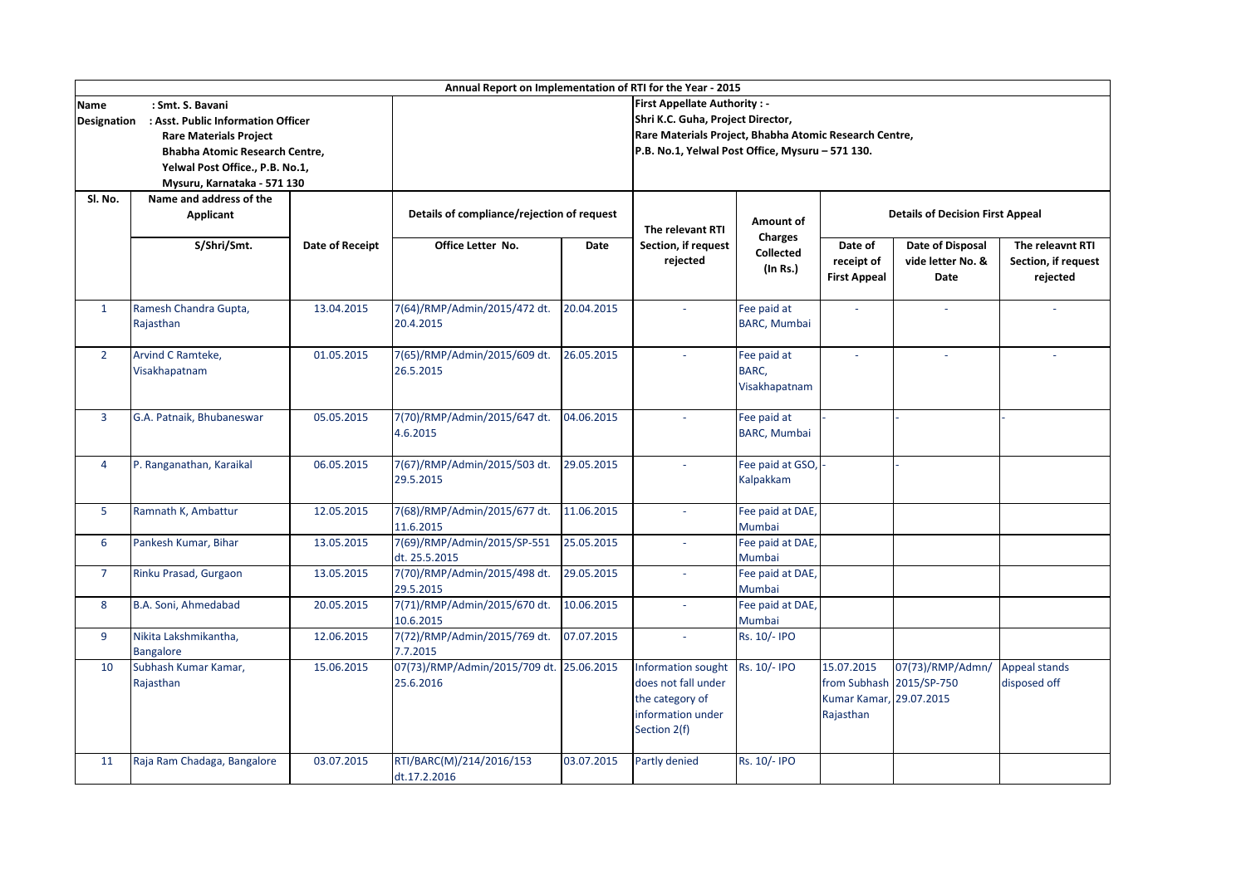| Annual Report on Implementation of RTI for the Year - 2015                                                                                                                                                                              |                                           |                 |                                                                          |                                                                                                            |                                                                                                   |                                                |                                                                                |                                                             |                                                     |  |
|-----------------------------------------------------------------------------------------------------------------------------------------------------------------------------------------------------------------------------------------|-------------------------------------------|-----------------|--------------------------------------------------------------------------|------------------------------------------------------------------------------------------------------------|---------------------------------------------------------------------------------------------------|------------------------------------------------|--------------------------------------------------------------------------------|-------------------------------------------------------------|-----------------------------------------------------|--|
| : Smt. S. Bavani<br><b>Name</b><br>: Asst. Public Information Officer<br><b>Designation</b><br><b>Rare Materials Project</b><br><b>Bhabha Atomic Research Centre,</b><br>Yelwal Post Office., P.B. No.1,<br>Mysuru, Karnataka - 571 130 |                                           |                 | <b>First Appellate Authority: -</b><br>Shri K.C. Guha, Project Director, |                                                                                                            |                                                                                                   |                                                |                                                                                |                                                             |                                                     |  |
|                                                                                                                                                                                                                                         |                                           |                 |                                                                          | Rare Materials Project, Bhabha Atomic Research Centre,<br>P.B. No.1, Yelwal Post Office, Mysuru - 571 130. |                                                                                                   |                                                |                                                                                |                                                             |                                                     |  |
| SI. No.                                                                                                                                                                                                                                 | Name and address of the<br>Applicant      | Date of Receipt | Details of compliance/rejection of request                               |                                                                                                            | The relevant RTI                                                                                  | <b>Amount of</b>                               | <b>Details of Decision First Appeal</b>                                        |                                                             |                                                     |  |
|                                                                                                                                                                                                                                         | S/Shri/Smt.                               |                 | Office Letter No.                                                        | Date                                                                                                       | Section, if request<br>rejected                                                                   | <b>Charges</b><br><b>Collected</b><br>(In Rs.) | Date of<br>receipt of<br><b>First Appeal</b>                                   | <b>Date of Disposal</b><br>vide letter No. &<br><b>Date</b> | The releavnt RTI<br>Section, if request<br>rejected |  |
| $\mathbf{1}$                                                                                                                                                                                                                            | Ramesh Chandra Gupta,<br>Rajasthan        | 13.04.2015      | 7(64)/RMP/Admin/2015/472 dt.<br>20.4.2015                                | 20.04.2015                                                                                                 |                                                                                                   | Fee paid at<br><b>BARC, Mumbai</b>             | $\overline{\phantom{a}}$                                                       |                                                             |                                                     |  |
| $2^{\circ}$                                                                                                                                                                                                                             | Arvind C Ramteke,<br>Visakhapatnam        | 01.05.2015      | 7(65)/RMP/Admin/2015/609 dt.<br>26.5.2015                                | 26.05.2015                                                                                                 |                                                                                                   | Fee paid at<br>BARC,<br>Visakhapatnam          | $\overline{\phantom{a}}$                                                       | $\overline{\phantom{a}}$                                    |                                                     |  |
| $\overline{3}$                                                                                                                                                                                                                          | G.A. Patnaik, Bhubaneswar                 | 05.05.2015      | 7(70)/RMP/Admin/2015/647 dt.<br>4.6.2015                                 | 04.06.2015                                                                                                 |                                                                                                   | Fee paid at<br><b>BARC, Mumbai</b>             |                                                                                |                                                             |                                                     |  |
| 4                                                                                                                                                                                                                                       | P. Ranganathan, Karaikal                  | 06.05.2015      | 7(67)/RMP/Admin/2015/503 dt.<br>29.5.2015                                | 29.05.2015                                                                                                 |                                                                                                   | Fee paid at GSO,<br>Kalpakkam                  |                                                                                |                                                             |                                                     |  |
| 5 <sup>1</sup>                                                                                                                                                                                                                          | Ramnath K, Ambattur                       | 12.05.2015      | 7(68)/RMP/Admin/2015/677 dt.<br>11.6.2015                                | 11.06.2015                                                                                                 |                                                                                                   | Fee paid at DAE,<br>Mumbai                     |                                                                                |                                                             |                                                     |  |
| 6                                                                                                                                                                                                                                       | Pankesh Kumar, Bihar                      | 13.05.2015      | 7(69)/RMP/Admin/2015/SP-551<br>dt. 25.5.2015                             | 25.05.2015                                                                                                 |                                                                                                   | Fee paid at DAE,<br>Mumbai                     |                                                                                |                                                             |                                                     |  |
| $\overline{7}$                                                                                                                                                                                                                          | Rinku Prasad, Gurgaon                     | 13.05.2015      | 7(70)/RMP/Admin/2015/498 dt.<br>29.5.2015                                | 29.05.2015                                                                                                 | $\blacksquare$                                                                                    | Fee paid at DAE,<br>Mumbai                     |                                                                                |                                                             |                                                     |  |
| 8                                                                                                                                                                                                                                       | B.A. Soni, Ahmedabad                      | 20.05.2015      | 7(71)/RMP/Admin/2015/670 dt.<br>10.6.2015                                | 10.06.2015                                                                                                 |                                                                                                   | Fee paid at DAE,<br>Mumbai                     |                                                                                |                                                             |                                                     |  |
| 9                                                                                                                                                                                                                                       | Nikita Lakshmikantha,<br><b>Bangalore</b> | 12.06.2015      | 7(72)/RMP/Admin/2015/769 dt.<br>7.7.2015                                 | 07.07.2015                                                                                                 |                                                                                                   | Rs. 10/- IPO                                   |                                                                                |                                                             |                                                     |  |
| 10                                                                                                                                                                                                                                      | Subhash Kumar Kamar,<br>Rajasthan         | 15.06.2015      | 07(73)/RMP/Admin/2015/709 dt. 25.06.2015<br>25.6.2016                    |                                                                                                            | Information sought<br>does not fall under<br>the category of<br>information under<br>Section 2(f) | Rs. 10/- IPO                                   | 15.07.2015<br>from Subhash 2015/SP-750<br>Kumar Kamar, 29.07.2015<br>Rajasthan | 07(73)/RMP/Admn/                                            | <b>Appeal stands</b><br>disposed off                |  |
| 11                                                                                                                                                                                                                                      | Raja Ram Chadaga, Bangalore               | 03.07.2015      | RTI/BARC(M)/214/2016/153<br>dt.17.2.2016                                 | 03.07.2015                                                                                                 | Partly denied                                                                                     | Rs. 10/- IPO                                   |                                                                                |                                                             |                                                     |  |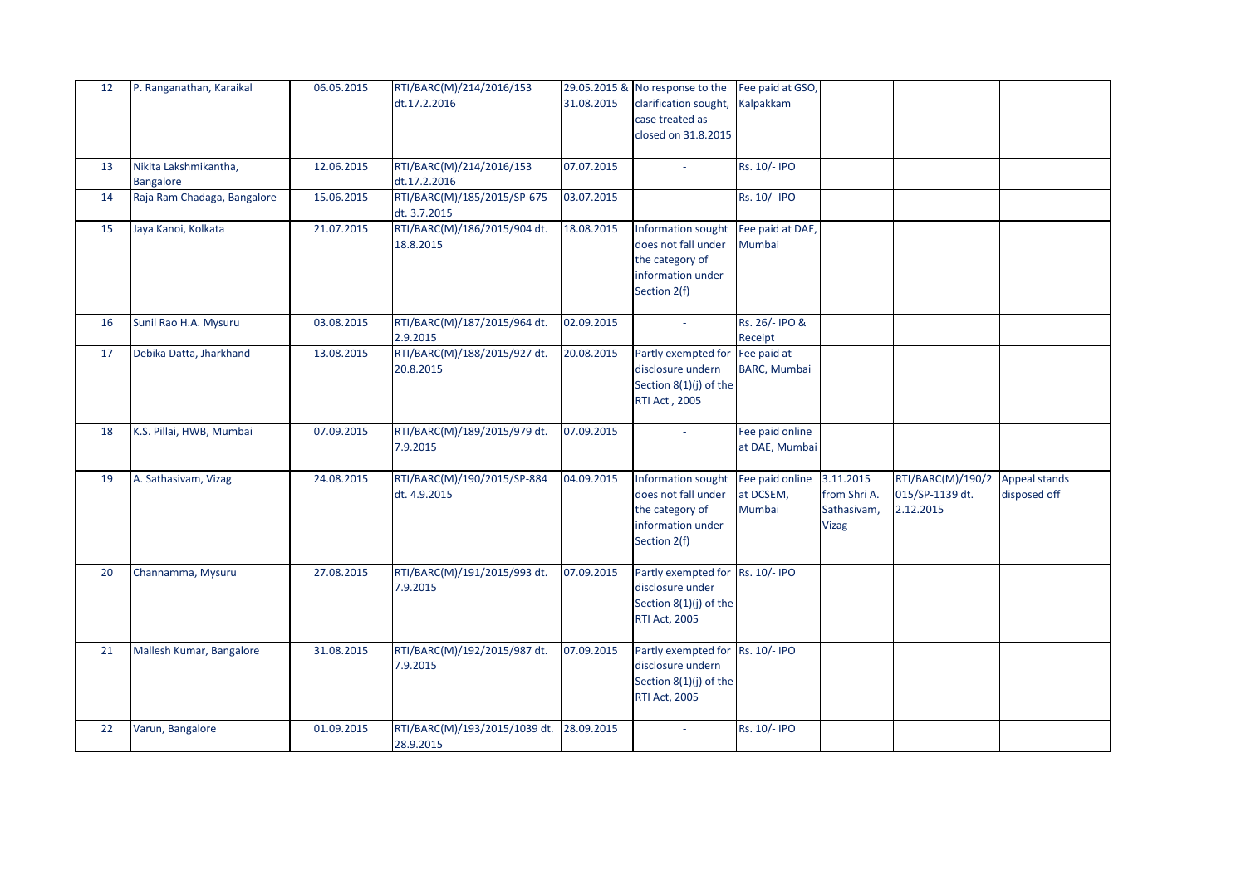| 12 | P. Ranganathan, Karaikal                  | 06.05.2015 | RTI/BARC(M)/214/2016/153<br>dt.17.2.2016    | 31.08.2015 | 29.05.2015 & No response to the<br>clarification sought,<br>case treated as                            | Fee paid at GSO,<br>Kalpakkam          |                                                          |                                                   |                                      |
|----|-------------------------------------------|------------|---------------------------------------------|------------|--------------------------------------------------------------------------------------------------------|----------------------------------------|----------------------------------------------------------|---------------------------------------------------|--------------------------------------|
|    |                                           |            |                                             |            | closed on 31.8.2015                                                                                    |                                        |                                                          |                                                   |                                      |
| 13 | Nikita Lakshmikantha,<br><b>Bangalore</b> | 12.06.2015 | RTI/BARC(M)/214/2016/153<br>dt.17.2.2016    | 07.07.2015 |                                                                                                        | Rs. 10/- IPO                           |                                                          |                                                   |                                      |
| 14 | Raja Ram Chadaga, Bangalore               | 15.06.2015 | RTI/BARC(M)/185/2015/SP-675<br>dt. 3.7.2015 | 03.07.2015 |                                                                                                        | Rs. 10/- IPO                           |                                                          |                                                   |                                      |
| 15 | Jaya Kanoi, Kolkata                       | 21.07.2015 | RTI/BARC(M)/186/2015/904 dt.<br>18.8.2015   | 18.08.2015 | Information sought<br>does not fall under<br>the category of<br>information under<br>Section 2(f)      | Fee paid at DAE,<br>Mumbai             |                                                          |                                                   |                                      |
| 16 | Sunil Rao H.A. Mysuru                     | 03.08.2015 | RTI/BARC(M)/187/2015/964 dt.<br>2.9.2015    | 02.09.2015 |                                                                                                        | Rs. 26/- IPO &<br>Receipt              |                                                          |                                                   |                                      |
| 17 | Debika Datta, Jharkhand                   | 13.08.2015 | RTI/BARC(M)/188/2015/927 dt.<br>20.8.2015   | 20.08.2015 | Partly exempted for Fee paid at<br>disclosure undern<br>Section 8(1)(j) of the<br>RTI Act, 2005        | <b>BARC, Mumbai</b>                    |                                                          |                                                   |                                      |
| 18 | K.S. Pillai, HWB, Mumbai                  | 07.09.2015 | RTI/BARC(M)/189/2015/979 dt.<br>7.9.2015    | 07.09.2015 |                                                                                                        | Fee paid online<br>at DAE, Mumbai      |                                                          |                                                   |                                      |
| 19 | A. Sathasivam, Vizag                      | 24.08.2015 | RTI/BARC(M)/190/2015/SP-884<br>dt. 4.9.2015 | 04.09.2015 | Information sought<br>does not fall under<br>the category of<br>information under<br>Section 2(f)      | Fee paid online<br>at DCSEM,<br>Mumbai | 3.11.2015<br>from Shri A.<br>Sathasivam,<br><b>Vizag</b> | RTI/BARC(M)/190/2<br>015/SP-1139 dt.<br>2.12.2015 | <b>Appeal stands</b><br>disposed off |
| 20 | Channamma, Mysuru                         | 27.08.2015 | RTI/BARC(M)/191/2015/993 dt.<br>7.9.2015    | 07.09.2015 | Partly exempted for Rs. 10/- IPO<br>disclosure under<br>Section 8(1)(j) of the<br><b>RTI Act, 2005</b> |                                        |                                                          |                                                   |                                      |
| 21 | Mallesh Kumar, Bangalore                  | 31.08.2015 | RTI/BARC(M)/192/2015/987 dt.<br>7.9.2015    | 07.09.2015 | Partly exempted for Rs. 10/-IPO<br>disclosure undern<br>Section 8(1)(j) of the<br><b>RTI Act, 2005</b> |                                        |                                                          |                                                   |                                      |
| 22 | Varun, Bangalore                          | 01.09.2015 | RTI/BARC(M)/193/2015/1039 dt.<br>28.9.2015  | 28.09.2015 | $\sim$                                                                                                 | Rs. 10/- IPO                           |                                                          |                                                   |                                      |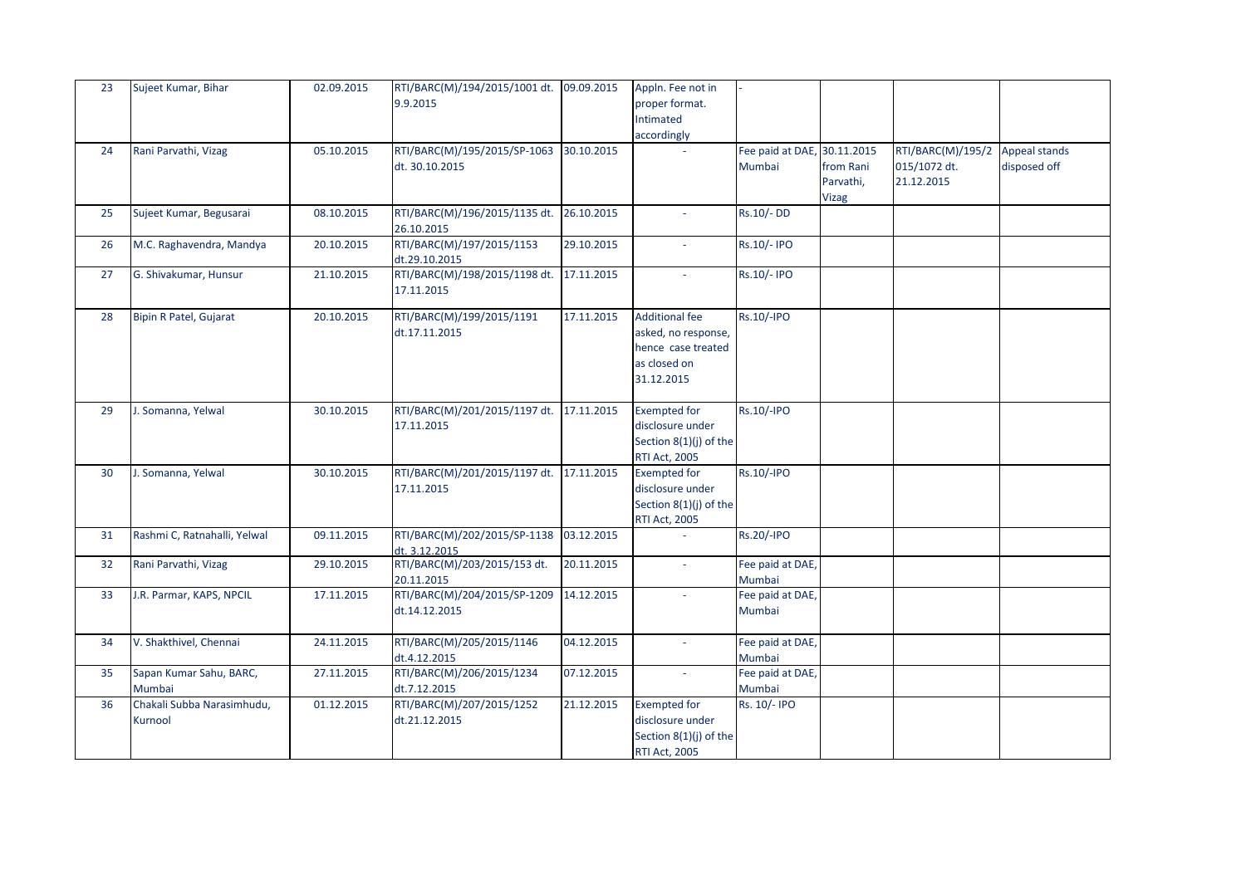| 23 | Sujeet Kumar, Bihar                   | 02.09.2015 | RTI/BARC(M)/194/2015/1001 dt.<br>9.9.2015      | 09.09.2015 | Appln. Fee not in<br>proper format.<br>Intimated<br>accordingly                                  |                                       |                                        |                                                 |                                      |
|----|---------------------------------------|------------|------------------------------------------------|------------|--------------------------------------------------------------------------------------------------|---------------------------------------|----------------------------------------|-------------------------------------------------|--------------------------------------|
| 24 | Rani Parvathi, Vizag                  | 05.10.2015 | RTI/BARC(M)/195/2015/SP-1063<br>dt. 30.10.2015 | 30.10.2015 |                                                                                                  | Fee paid at DAE, 30.11.2015<br>Mumbai | from Rani<br>Parvathi,<br><b>Vizag</b> | RTI/BARC(M)/195/2<br>015/1072 dt.<br>21.12.2015 | <b>Appeal stands</b><br>disposed off |
| 25 | Sujeet Kumar, Begusarai               | 08.10.2015 | RTI/BARC(M)/196/2015/1135 dt.<br>26.10.2015    | 26.10.2015 |                                                                                                  | Rs.10/-DD                             |                                        |                                                 |                                      |
| 26 | M.C. Raghavendra, Mandya              | 20.10.2015 | RTI/BARC(M)/197/2015/1153<br>dt.29.10.2015     | 29.10.2015 | $\sim$                                                                                           | Rs.10/- IPO                           |                                        |                                                 |                                      |
| 27 | G. Shivakumar, Hunsur                 | 21.10.2015 | RTI/BARC(M)/198/2015/1198 dt.<br>17.11.2015    | 17.11.2015 | $\sim$                                                                                           | Rs.10/- IPO                           |                                        |                                                 |                                      |
| 28 | Bipin R Patel, Gujarat                | 20.10.2015 | RTI/BARC(M)/199/2015/1191<br>dt.17.11.2015     | 17.11.2015 | <b>Additional fee</b><br>asked, no response,<br>hence case treated<br>as closed on<br>31.12.2015 | <b>Rs.10/-IPO</b>                     |                                        |                                                 |                                      |
| 29 | J. Somanna, Yelwal                    | 30.10.2015 | RTI/BARC(M)/201/2015/1197 dt.<br>17.11.2015    | 17.11.2015 | <b>Exempted for</b><br>disclosure under<br>Section 8(1)(j) of the<br><b>RTI Act, 2005</b>        | <b>Rs.10/-IPO</b>                     |                                        |                                                 |                                      |
| 30 | J. Somanna, Yelwal                    | 30.10.2015 | RTI/BARC(M)/201/2015/1197 dt.<br>17.11.2015    | 17.11.2015 | <b>Exempted for</b><br>disclosure under<br>Section 8(1)(j) of the<br><b>RTI Act, 2005</b>        | <b>Rs.10/-IPO</b>                     |                                        |                                                 |                                      |
| 31 | Rashmi C, Ratnahalli, Yelwal          | 09.11.2015 | RTI/BARC(M)/202/2015/SP-1138<br>dt. 3.12.2015  | 03.12.2015 |                                                                                                  | <b>Rs.20/-IPO</b>                     |                                        |                                                 |                                      |
| 32 | Rani Parvathi, Vizag                  | 29.10.2015 | RTI/BARC(M)/203/2015/153 dt.<br>20.11.2015     | 20.11.2015 | $\sim$                                                                                           | Fee paid at DAE,<br>Mumbai            |                                        |                                                 |                                      |
| 33 | J.R. Parmar, KAPS, NPCIL              | 17.11.2015 | RTI/BARC(M)/204/2015/SP-1209<br>dt.14.12.2015  | 14.12.2015 |                                                                                                  | Fee paid at DAE,<br>Mumbai            |                                        |                                                 |                                      |
| 34 | V. Shakthivel, Chennai                | 24.11.2015 | RTI/BARC(M)/205/2015/1146<br>dt.4.12.2015      | 04.12.2015 | $\overline{\phantom{a}}$                                                                         | Fee paid at DAE,<br>Mumbai            |                                        |                                                 |                                      |
| 35 | Sapan Kumar Sahu, BARC,<br>Mumbai     | 27.11.2015 | RTI/BARC(M)/206/2015/1234<br>dt.7.12.2015      | 07.12.2015 |                                                                                                  | Fee paid at DAE,<br>Mumbai            |                                        |                                                 |                                      |
| 36 | Chakali Subba Narasimhudu,<br>Kurnool | 01.12.2015 | RTI/BARC(M)/207/2015/1252<br>dt.21.12.2015     | 21.12.2015 | <b>Exempted for</b><br>disclosure under<br>Section 8(1)(j) of the<br><b>RTI Act, 2005</b>        | Rs. 10/- IPO                          |                                        |                                                 |                                      |